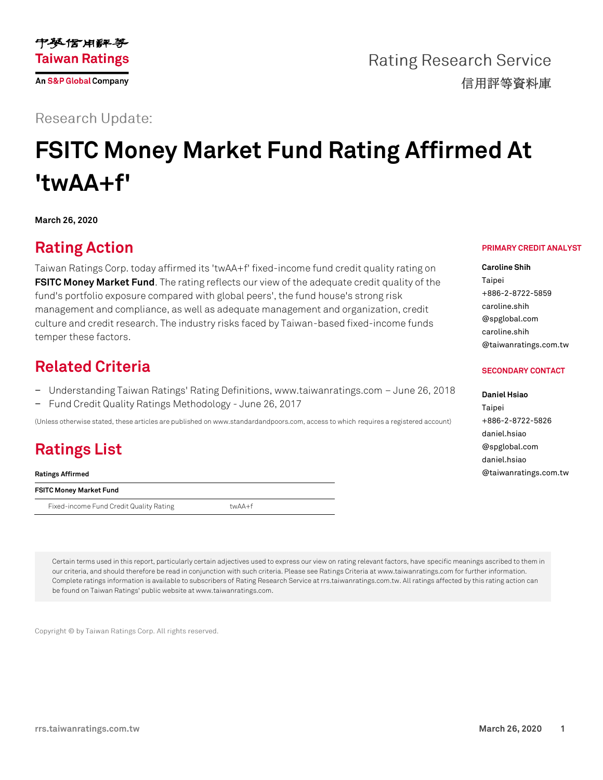

**Rating Research Service** 信用評等資料庫

#### **Research Update:**

# **FSITC Money Market Fund Rating Affirmed At 'twAA+f'**

**March 26, 2020**

### **Rating Action**

Taiwan Ratings Corp. today affirmed its 'twAA+f' fixed-income fund credit quality rating on **[FSITC Money Market Fund](https://rrs.taiwanratings.com.tw/portal/member/viewFund/538)**. The rating reflects our view of the adequate credit quality of the fund's portfolio exposure compared with global peers', the fund house's strong risk management and compliance, as well as adequate management and organization, credit culture and credit research. The industry risks faced by Taiwan-based fixed-income funds temper these factors.

#### **Related Criteria**

- − Understanding Taiwan Ratings' Rating Definitions, www.taiwanratings.com June 26, 2018
- − Fund Credit Quality Ratings Methodology June 26, 2017

(Unless otherwise stated, these articles are published on www.standardandpoors.com, access to which requires a registered account)

## **Ratings List**

**Ratings Affirmed**

**FSITC Money Market Fund**

Fixed-income Fund Credit Quality Rating twAA+f

**PRIMARY CREDIT ANALYST**

**Caroline Shih** Taipei +886-2-8722-5859 caroline.shih @spglobal.com caroline.shih @taiwanratings.com.tw

#### **SECONDARY CONTACT**

**Daniel Hsiao** Taipei +886-2-8722-5826 daniel.hsiao @spglobal.com daniel.hsiao @taiwanratings.com.tw

Certain terms used in this report, particularly certain adjectives used to express our view on rating relevant factors, have specific meanings ascribed to them in our criteria, and should therefore be read in conjunction with such criteria. Please see Ratings Criteria at www.taiwanratings.com for further information. Complete ratings information is available to subscribers of Rating Research Service at rrs.taiwanratings.com.tw. All ratings affected by this rating action can be found on Taiwan Ratings' public website at www.taiwanratings.com.

Copyright © by Taiwan Ratings Corp. All rights reserved.